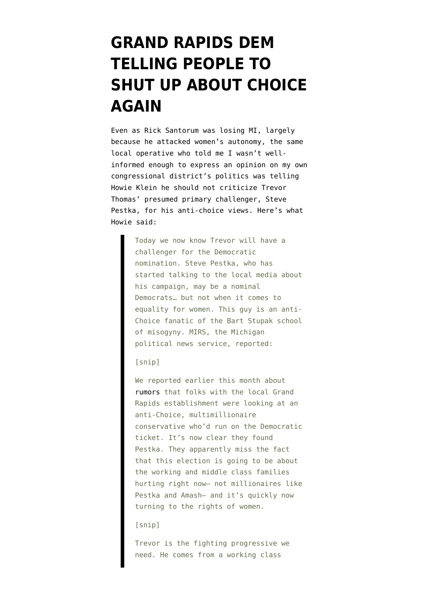## **[GRAND RAPIDS DEM](https://www.emptywheel.net/2012/02/29/grand-rapids-dems-telling-people-to-shut-up-about-choice-again/) [TELLING PEOPLE TO](https://www.emptywheel.net/2012/02/29/grand-rapids-dems-telling-people-to-shut-up-about-choice-again/) [SHUT UP ABOUT CHOICE](https://www.emptywheel.net/2012/02/29/grand-rapids-dems-telling-people-to-shut-up-about-choice-again/) [AGAIN](https://www.emptywheel.net/2012/02/29/grand-rapids-dems-telling-people-to-shut-up-about-choice-again/)**

Even as Rick Santorum was losing MI, [largely](http://www.emptywheel.net/2012/02/29/vaginas-vengeance-republicans-officially-killing-their-party-for-birth-control/) [because he attacked women's autonomy](http://www.emptywheel.net/2012/02/29/vaginas-vengeance-republicans-officially-killing-their-party-for-birth-control/), the same local operative who [told me](http://www.emptywheel.net/2012/02/07/my-lady-parts-will-be-voting-this-year/) I wasn't wellinformed enough to express an opinion on my own congressional district's politics was telling Howie Klein he should not criticize Trevor Thomas' presumed primary challenger, Steve Pestka, for his anti-choice views. Here's what Howie [said:](http://downwithtyranny.blogspot.com/2012/02/theres-more-going-on-in-michigan-today.html)

> Today we now know Trevor will have a challenger for the Democratic nomination. Steve Pestka, who has started talking to the local media about his campaign, may be a nominal Democrats… but not when it comes to equality for women. This guy is an anti-Choice fanatic of the Bart Stupak school of misogyny. MIRS, the Michigan political news service, reported:

[snip]

We reported earlier this month about [rumors](http://downwithtyranny.blogspot.com/2012/02/run-trevor-run-hope-in-western-michigan.html) that folks with the local Grand Rapids establishment were looking at an anti-Choice, multimillionaire conservative who'd run on the Democratic ticket. It's now clear they found Pestka. They apparently miss the fact that this election is going to be about the working and middle class families hurting right now– not millionaires like Pestka and Amash– and it's quickly now turning to the rights of women.

## [snip]

Trevor is the fighting progressive we need. He comes from a working class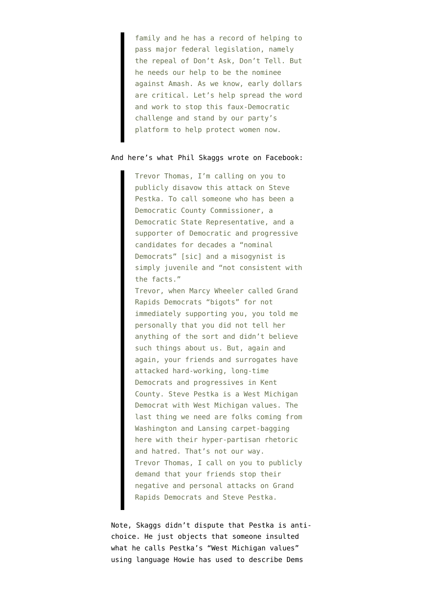family and he has a record of helping to pass major federal legislation, namely the repeal of Don't Ask, Don't Tell. But he needs our help to be the nominee against Amash. As we know, early dollars are critical. Let's help spread the word and work to stop this faux-Democratic challenge and stand by our party's platform to help protect women now.

## And here's what Phil Skaggs [wrote on Facebook](https://www.facebook.com/philskaggs):

Trevor Thomas, I'm calling on you to publicly disavow this attack on Steve Pestka. To call someone who has been a Democratic County Commissioner, a Democratic State Representative, and a supporter of Democratic and progressive candidates for decades a "nominal Democrats" [sic] and a misogynist is simply juvenile and "not consistent with the facts." Trevor, when Marcy Wheeler called Grand Rapids Democrats "bigots" for not immediately supporting you, you told me personally that you did not tell her anything of the sort and didn't believe such things about us. But, again and again, your friends and surrogates have attacked hard-working, long-time Democrats and progressives in Kent County. Steve Pestka is a West Michigan Democrat with West Michigan values. The last thing we need are folks coming from Washington and Lansing carpet-bagging here with their hyper-partisan rhetoric and hatred. That's not our way. Trevor Thomas, I call on you to publicly demand that your friends stop their negative and personal attacks on Grand Rapids Democrats and Steve Pestka.

Note, Skaggs didn't dispute that Pestka is antichoice. He just objects that someone insulted what he calls Pestka's "West Michigan values" using language Howie has used to describe Dems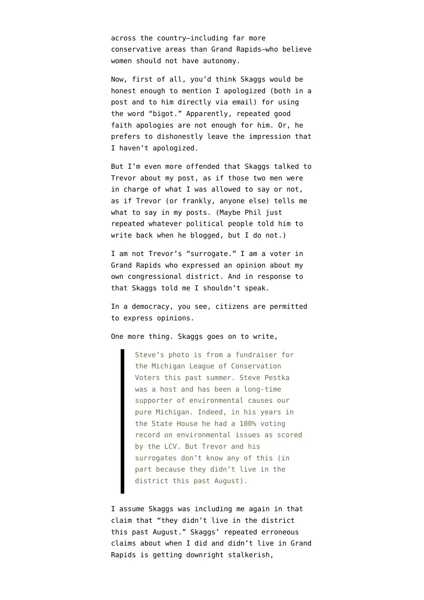across the country–including far more conservative areas than Grand Rapids–who believe women should not have autonomy.

Now, first of all, you'd think Skaggs would be honest enough to mention I apologized (both in a post and to him directly via email) for using the word "bigot." Apparently, repeated good faith apologies are not enough for him. Or, he prefers to dishonestly leave the impression that I haven't apologized.

But I'm even more offended that Skaggs talked to Trevor about my post, as if those two men were in charge of what I was allowed to say or not, as if Trevor (or frankly, anyone else) tells me what to say in my posts. (Maybe Phil just repeated whatever political people told him to write back when he blogged, but I do not.)

I am not Trevor's "surrogate." I am a voter in Grand Rapids who expressed an opinion about my own congressional district. And in response to that Skaggs told me I shouldn't speak.

In a democracy, you see, citizens are permitted to express opinions.

One more thing. Skaggs goes on to write,

Steve's photo is from a fundraiser for the Michigan League of Conservation Voters this past summer. Steve Pestka was a host and has been a long-time supporter of environmental causes our pure Michigan. Indeed, in his years in the State House he had a 100% voting record on environmental issues as scored by the LCV. But Trevor and his surrogates don't know any of this (in part because they didn't live in the district this past August).

I assume Skaggs was including me again in that claim that "they didn't live in the district this past August." Skaggs' repeated erroneous claims about when I did and didn't live in Grand Rapids is getting downright stalkerish,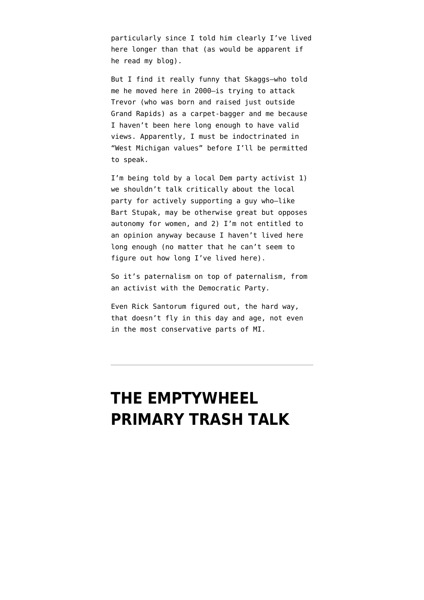particularly since I told him clearly I've lived here longer than that (as would be apparent if he read my blog).

But I find it really funny that Skaggs–who told me he moved here in 2000–is trying to attack Trevor (who was born and raised just outside Grand Rapids) as a carpet-bagger and me because I haven't been here long enough to have valid views. Apparently, I must be indoctrinated in "West Michigan values" before I'll be permitted to speak.

I'm being told by a local Dem party activist 1) we shouldn't talk critically about the local party for actively supporting a guy who–like Bart Stupak, may be otherwise great but opposes autonomy for women, and 2) I'm not entitled to an opinion anyway because I haven't lived here long enough (no matter that he can't seem to figure out how long I've lived here).

So it's paternalism on top of paternalism, from an activist with the Democratic Party.

Even Rick Santorum figured out, the hard way, that doesn't fly in this day and age, not even in the most conservative parts of MI.

## **[THE EMPTYWHEEL](https://www.emptywheel.net/2012/02/28/the-emptywheel-primary-trash-talk/) [PRIMARY TRASH TALK](https://www.emptywheel.net/2012/02/28/the-emptywheel-primary-trash-talk/)**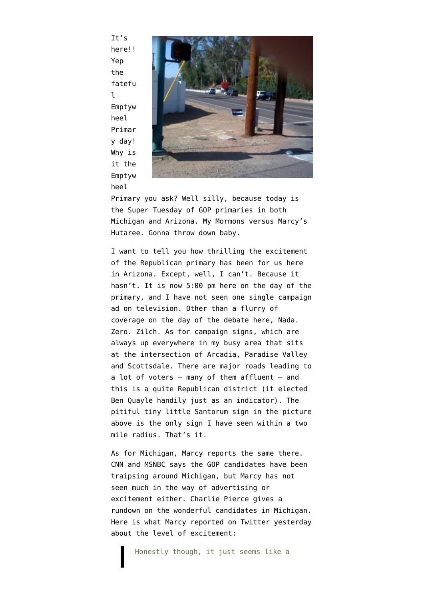It's here!! Yep the fatefu l Emptyw heel Primar y day! Why is it the Emptyw heel



Primary you ask? Well silly, because today is the Super Tuesday of GOP primaries in both Michigan and Arizona. My Mormons versus Marcy's Hutaree. Gonna throw down baby.

I want to tell you how thrilling the excitement of the Republican primary has been for us here in Arizona. Except, well, I can't. Because it hasn't. It is now 5:00 pm here on the day of the primary, and I have not seen one single campaign ad on television. Other than a flurry of coverage on the day of [the debate here,](http://www.emptywheel.net/2012/02/22/four-of-seven-dwarves-consistent-courage-resolute-cheerful/) Nada. Zero. Zilch. As for campaign signs, which are always up everywhere in my busy area that sits at the intersection of Arcadia, Paradise Valley and Scottsdale. There are major roads leading to a lot of voters – many of them affluent – and this is a quite Republican district (it elected Ben Quayle handily just as an indicator). The pitiful tiny little Santorum sign in the picture above is the only sign I have seen within a two mile radius. That's it.

As for Michigan, Marcy reports the same there. CNN and MSNBC says the GOP candidates have been traipsing around Michigan, but Marcy has not seen much in the way of advertising or excitement either. [Charlie Pierce](http://www.esquire.com/blogs/politics/michigan-primary-2012-6962059?click=pp) gives a rundown on the wonderful candidates in Michigan. Here is what Marcy reported on [Twitter yesterday](https://twitter.com/#!/emptywheel/status/174316844520443905) about the level of excitement: